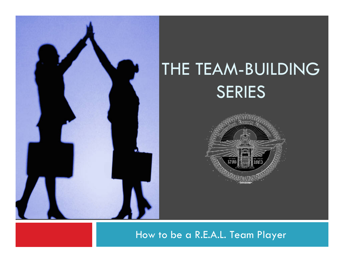

# THE TEAM-BUILDING SERIES



#### How to be a R.E.A.L. Team Player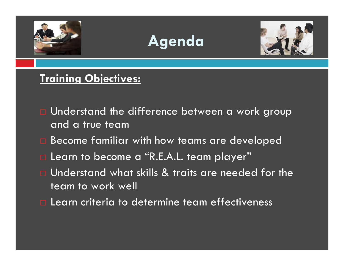





### **Training Objectives:**

- Understand the difference between a work group and a true team
- Become familiar with how teams are developed
- Learn to become a "R.E.A.L. team player"
- Understand what skills & traits are needed for the team to work well
- $\square$  Learn criteria to determine team effectiveness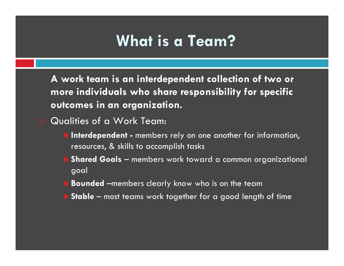# **What is a Team?**

**A work team is an interdependent collection of two or more individuals who share responsibility for specific outcomes in an organization.** 

Qualities of a Work Team:

- **Interdependent -** members rely on one another for information, resources, & skills to accomplish tasks
- **Shared Goals** members work toward a common organizational goal
- **Bounded** –members clearly know who is on the team
- **Stable**  most teams work together for a good length of time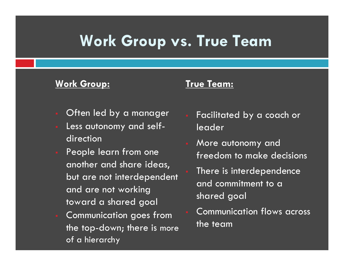# **Work Group vs. True Team**

#### **Work Group:**

#### **True Team:**

- Often led by a manager
- Less autonomy and selfdirection
- People learn from one another and share ideas, but are not interdependent and are not working toward a shared goal
- Communication goes from the top-down; there is more of a hierarchy
- Facilitated by a coach or leader
- More autonomy and freedom to make decisions
- There is interdependence and commitment to a shared goal
- Communication flows across the team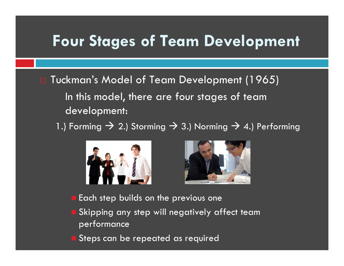# **Four Stages of Team Development**

- Tuckman's Model of Team Development (1965) In this model, there are four stages of team development:
	- 1.) Forming  $\rightarrow$  2.) Storming  $\rightarrow$  3.) Norming  $\rightarrow$  4.) Performing





- Each step builds on the previous one
- Skipping any step will negatively affect team performance
- Steps can be repeated as required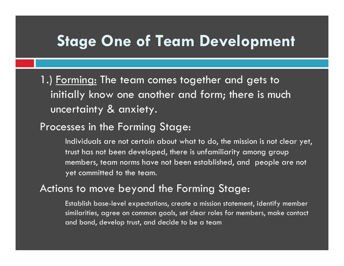# **Stage One of Team Development**

1.) Forming: The team comes together and gets to initially know one another and form; there is much uncertainty & anxiety.

#### Processes in the Forming Stage:

 Individuals are not certain about what to do, the mission is not clear yet, trust has not been developed, there is unfamiliarity among group members, team norms have not been established, and people are not yet committed to the team.

#### Actions to move beyond the Forming Stage:

Establish base-level expectations, create a mission statement, identify member similarities, agree on common goals, set clear roles for members, make contact and bond, develop trust, and decide to be a team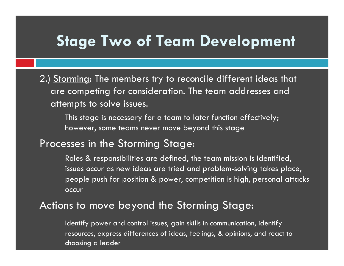# **Stage Two of Team Development**

2.) Storming: The members try to reconcile different ideas that are competing for consideration. The team addresses and attempts to solve issues.

 This stage is necessary for a team to later function effectively; however, some teams never move beyond this stage

#### Processes in the Storming Stage:

 Roles & responsibilities are defined, the team mission is identified, issues occur as new ideas are tried and problem-solving takes place, people push for position & power, competition is high, personal attacks occur

#### Actions to move beyond the Storming Stage:

Identify power and control issues, gain skills in communication, identify resources, express differences of ideas, feelings, & opinions, and react to choosing a leader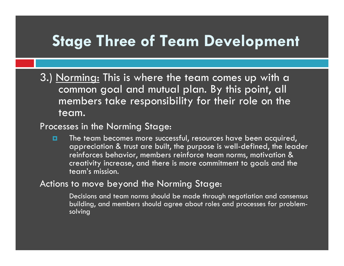# **Stage Three of Team Development**

3.) Norming: This is where the team comes up with a common goal and mutual plan. By this point, all members take responsibility for their role on the team.

#### Processes in the Norming Stage:

o The team becomes more successful, resources have been acquired, appreciation & trust are built, the purpose is well-defined, the leader reinforces behavior, members reinforce team norms, motivation & creativity increase, and there is more commitment to goals and the team's mission.

#### Actions to move beyond the Norming Stage:

Decisions and team norms should be made through negotiation and consensus building, and members should agree about roles and processes for problemsolving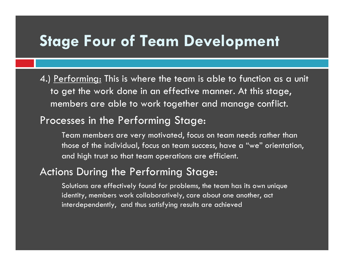## **Stage Four of Team Development**

4.) <u>Performing:</u> This is where the team is able to function as a unit to get the work done in an effective manner. At this stage, members are able to work together and manage conflict.

#### Processes in the Performing Stage:

 Team members are very motivated, focus on team needs rather than those of the individual, focus on team success, have a "we" orientation, and high trust so that team operations are efficient.

### Actions During the Performing Stage:

Solutions are effectively found for problems, the team has its own unique identity, members work collaboratively, care about one another, act interdependently, and thus satisfying results are achieved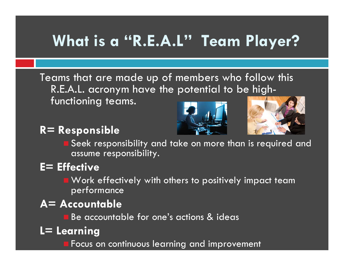# **What is a "R.E.A.L" Team Player?**

Teams that are made up of members who follow this R.E.A.L. acronym have the potential to be highfunctioning teams.

### **R= Responsible**





 Seek responsibility and take on more than is required and assume responsibility.

### **E= Effective**

- **E** Work effectively with others to positively impact team performance
- **A= Accountable**
	- **Be accountable for one's actions & ideas**
- **L= Learning**
	- **F** Focus on continuous learning and improvement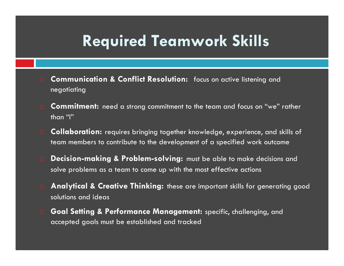# **Required Teamwork Skills**

- **Communication & Conflict Resolution:** focus on active listening and negotiating
- **Commitment:** need a strong commitment to the team and focus on "we" rather than "I"
- **Collaboration:** requires bringing together knowledge, experience, and skills of team members to contribute to the development of a specified work outcome
- **Decision-making & Problem-solving**: must be able to make decisions and solve problems as a team to come up with the most effective actions
- **Analytical & Creative Thinking:** these are important skills for generating good solutions and ideas
- **Goal Setting & Performance Management:** specific, challenging, and accepted goals must be established and tracked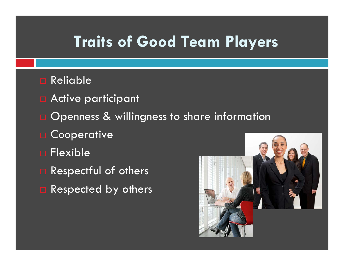# **Traits of Good Team Players**

- Reliable
- **n** Active participant
- Openness & willingness to share information
- **Cooperative**
- Flexible
- Respectful of others
- Respected by others

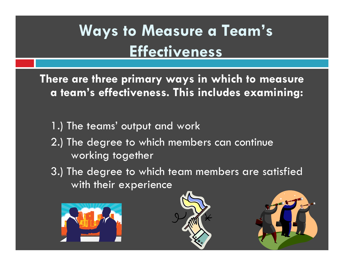# **Ways to Measure a Team's Effectiveness**

**There are three primary ways in which to measure a team's effectiveness. This includes examining:** 

- 1.) The teams' output and work
- 2.) The degree to which members can continue working together
- 3.) The degree to which team members are satisfied with their experience





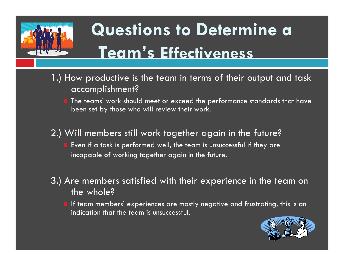

# **Questions to Determine a Team's Effectiveness**

- 1.) How productive is the team in terms of their output and task accomplishment?
	- The teams' work should meet or exceed the performance standards that have been set by those who will review their work.
- 2.) Will members still work together again in the future?
	- Even if a task is performed well, the team is unsuccessful if they are incapable of working together again in the future.
- 3.) Are members satisfied with their experience in the team on the whole?
	- If team members' experiences are mostly negative and frustrating, this is an indication that the team is unsuccessful.

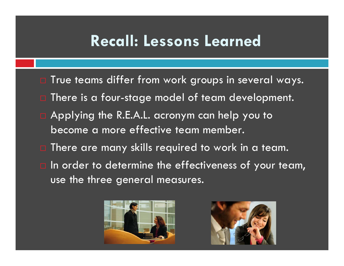# **Recall: Lessons Learned**

- $\Box$  True teams differ from work groups in several ways.
- $\Box$  There is a four-stage model of team development.
- $\square$  Applying the R.E.A.L. acronym can help you to become a more effective team member.
- $\Box$  There are many skills required to work in a team.
- $\Box$  In order to determine the effectiveness of your team, use the three general measures.